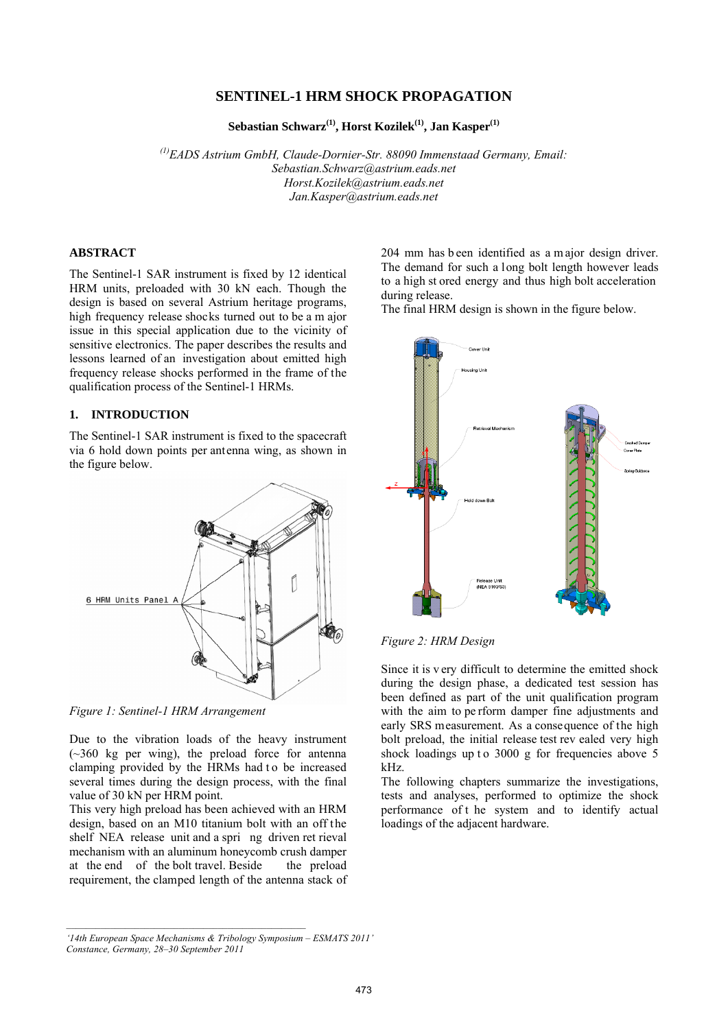# **SENTINEL-1 HRM SHOCK PROPAGATION**

Sebastian Schwarz<sup>(1)</sup>, Horst Kozilek<sup>(1)</sup>, Jan Kasper<sup>(1)</sup>

*(1)EADS Astrium GmbH, Claude-Dornier-Str. 88090 Immenstaad Germany, Email: Sebastian.Schwarz@astrium.eads.net Horst.Kozilek@astrium.eads.net Jan.Kasper@astrium.eads.net* 

## **ABSTRACT**

The Sentinel-1 SAR instrument is fixed by 12 identical HRM units, preloaded with 30 kN each. Though the design is based on several Astrium heritage programs, high frequency release shocks turned out to be a m ajor issue in this special application due to the vicinity of sensitive electronics. The paper describes the results and lessons learned of an investigation about emitted high frequency release shocks performed in the frame of the qualification process of the Sentinel-1 HRMs.

## **1. INTRODUCTION**

The Sentinel-1 SAR instrument is fixed to the spacecraft via 6 hold down points per antenna wing, as shown in the figure below.



*Figure 1: Sentinel-1 HRM Arrangement* 

Due to the vibration loads of the heavy instrument (~360 kg per wing), the preload force for antenna clamping provided by the HRMs had to be increased several times during the design process, with the final value of 30 kN per HRM point.

This very high preload has been achieved with an HRM design, based on an M10 titanium bolt with an off the shelf NEA release unit and a spri ng driven ret rieval mechanism with an aluminum honeycomb crush damper at the end of the bolt travel. Beside the preload requirement, the clamped length of the antenna stack of 204 mm has b een identified as a m ajor design driver. The demand for such a long bolt length however leads to a high st ored energy and thus high bolt acceleration during release.

The final HRM design is shown in the figure below.



*Figure 2: HRM Design* 

Since it is v ery difficult to determine the emitted shock during the design phase, a dedicated test session has been defined as part of the unit qualification program with the aim to pe rform damper fine adjustments and early SRS measurement. As a consequence of the high bolt preload, the initial release test rev ealed very high shock loadings up to 3000 g for frequencies above 5 kHz.

The following chapters summarize the investigations, tests and analyses, performed to optimize the shock performance of t he system and to identify actual loadings of the adjacent hardware.

*<sup>&#</sup>x27;14th European Space Mechanisms & Tribology Symposium – ESMATS 2011' Constance, Germany, 28–30 September 2011*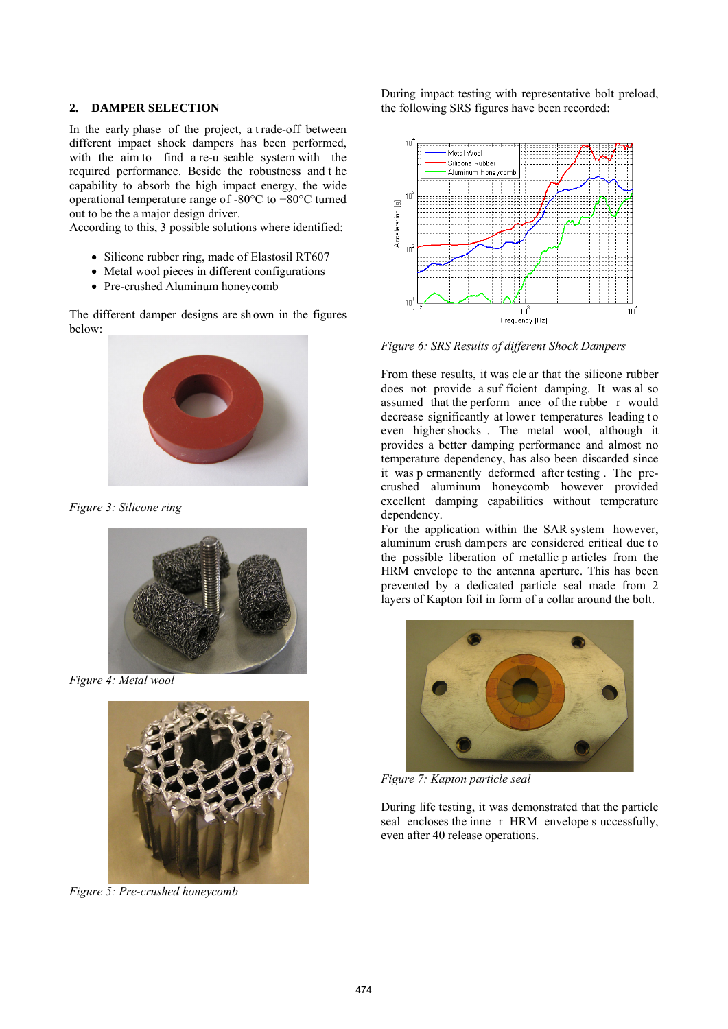## **2. DAMPER SELECTION**

In the early phase of the project, a t rade-off between different impact shock dampers has been performed, with the aim to find a re-u seable system with the required performance. Beside the robustness and t he capability to absorb the high impact energy, the wide operational temperature range of -80°C to +80°C turned out to be the a major design driver.

According to this, 3 possible solutions where identified:

- Silicone rubber ring, made of Elastosil RT607
- Metal wool pieces in different configurations
- Pre-crushed Aluminum honeycomb

The different damper designs are sh own in the figures below:



*Figure 3: Silicone ring* 



*Figure 4: Metal wool* 



*Figure 5: Pre-crushed honeycomb* 

During impact testing with representative bolt preload, the following SRS figures have been recorded:



*Figure 6: SRS Results of different Shock Dampers* 

From these results, it was cle ar that the silicone rubber does not provide a suf ficient damping. It was al so assumed that the perform ance of the rubbe r would decrease significantly at lower temperatures leading to even higher shocks . The metal wool, although it provides a better damping performance and almost no temperature dependency, has also been discarded since it was p ermanently deformed after testing . The precrushed aluminum honeycomb however provided excellent damping capabilities without temperature dependency.

For the application within the SAR system however, aluminum crush dampers are considered critical due to the possible liberation of metallic p articles from the HRM envelope to the antenna aperture. This has been prevented by a dedicated particle seal made from 2 layers of Kapton foil in form of a collar around the bolt.



*Figure 7: Kapton particle seal* 

During life testing, it was demonstrated that the particle seal encloses the inne r HRM envelope s uccessfully, even after 40 release operations.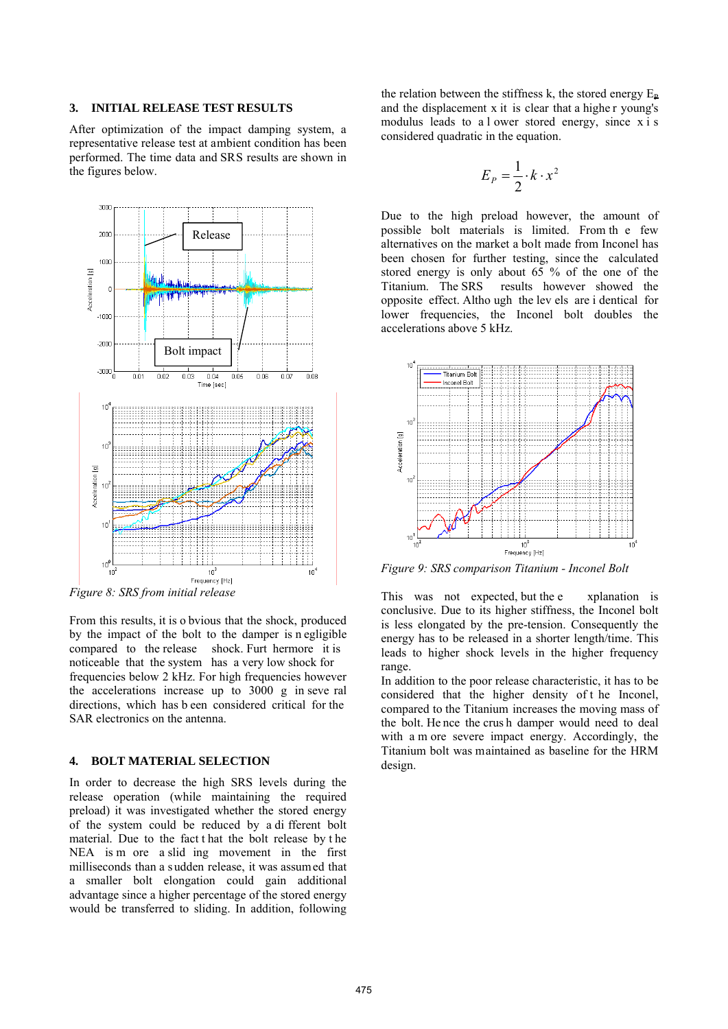#### **3. INITIAL RELEASE TEST RESULTS**

After optimization of the impact damping system, a representative release test at ambient condition has been performed. The time data and SRS results are shown in the figures below.



*Figure 8: SRS from initial release* 

From this results, it is o bvious that the shock, produced by the impact of the bolt to the damper is n egligible compared to the release shock. Furt hermore it is noticeable that the system has a very low shock for frequencies below 2 kHz. For high frequencies however the accelerations increase up to 3000 g in seve ral directions, which has b een considered critical for the SAR electronics on the antenna.

## **4. BOLT MATERIAL SELECTION**

In order to decrease the high SRS levels during the release operation (while maintaining the required preload) it was investigated whether the stored energy of the system could be reduced by a di fferent bolt material. Due to the fact t hat the bolt release by t he NEA is m ore a slid ing movement in the first milliseconds than a s udden release, it was assumed that a smaller bolt elongation could gain additional advantage since a higher percentage of the stored energy would be transferred to sliding. In addition, following the relation between the stiffness k, the stored energy  $E_{\rm P}$ and the displacement x it is clear that a highe r young's modulus leads to a l ower stored energy, since x i s considered quadratic in the equation.

$$
E_P = \frac{1}{2} \cdot k \cdot x^2
$$

Due to the high preload however, the amount of possible bolt materials is limited. From th e few alternatives on the market a bolt made from Inconel has been chosen for further testing, since the calculated stored energy is only about 65 % of the one of the Titanium. The SRS results however showed the opposite effect. Altho ugh the lev els are i dentical for lower frequencies, the Inconel bolt doubles the accelerations above 5 kHz.



*Figure 9: SRS comparison Titanium - Inconel Bolt* 

This was not expected, but the e xplanation is conclusive. Due to its higher stiffness, the Inconel bolt is less elongated by the pre-tension. Consequently the energy has to be released in a shorter length/time. This leads to higher shock levels in the higher frequency range.

In addition to the poor release characteristic, it has to be considered that the higher density of t he Inconel, compared to the Titanium increases the moving mass of the bolt. He nce the crus h damper would need to deal with a m ore severe impact energy. Accordingly, the Titanium bolt was maintained as baseline for the HRM design.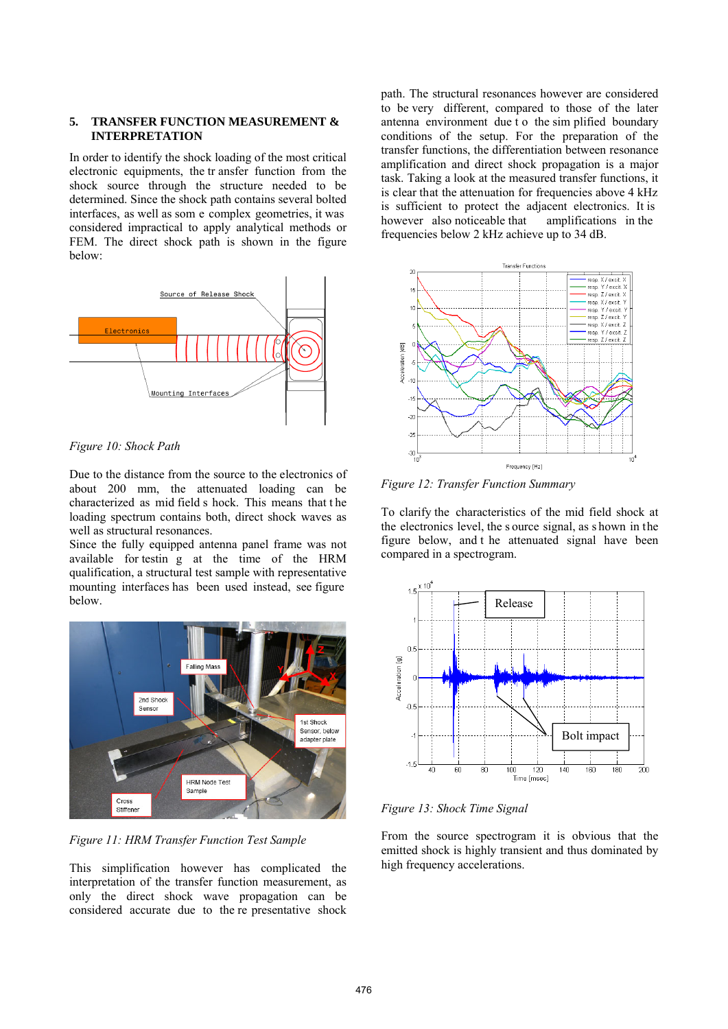## **5. TRANSFER FUNCTION MEASUREMENT & INTERPRETATION**

In order to identify the shock loading of the most critical electronic equipments, the tr ansfer function from the shock source through the structure needed to be determined. Since the shock path contains several bolted interfaces, as well as som e complex geometries, it was considered impractical to apply analytical methods or FEM. The direct shock path is shown in the figure below:



*Figure 10: Shock Path* 

Due to the distance from the source to the electronics of about 200 mm, the attenuated loading can be characterized as mid field s hock. This means that t he loading spectrum contains both, direct shock waves as well as structural resonances.

Since the fully equipped antenna panel frame was not available for testin g at the time of the HRM qualification, a structural test sample with representative mounting interfaces has been used instead, see figure below.



*Figure 11: HRM Transfer Function Test Sample* 

This simplification however has complicated the interpretation of the transfer function measurement, as only the direct shock wave propagation can be considered accurate due to the re presentative shock path. The structural resonances however are considered to be very different, compared to those of the later antenna environment due t o the sim plified boundary conditions of the setup. For the preparation of the transfer functions, the differentiation between resonance amplification and direct shock propagation is a major task. Taking a look at the measured transfer functions, it is clear that the attenuation for frequencies above 4 kHz is sufficient to protect the adjacent electronics. It is however also noticeable that amplifications in the frequencies below 2 kHz achieve up to 34 dB.



*Figure 12: Transfer Function Summary* 

To clarify the characteristics of the mid field shock at the electronics level, the s ource signal, as s hown in the figure below, and t he attenuated signal have been compared in a spectrogram.



*Figure 13: Shock Time Signal* 

From the source spectrogram it is obvious that the emitted shock is highly transient and thus dominated by high frequency accelerations.